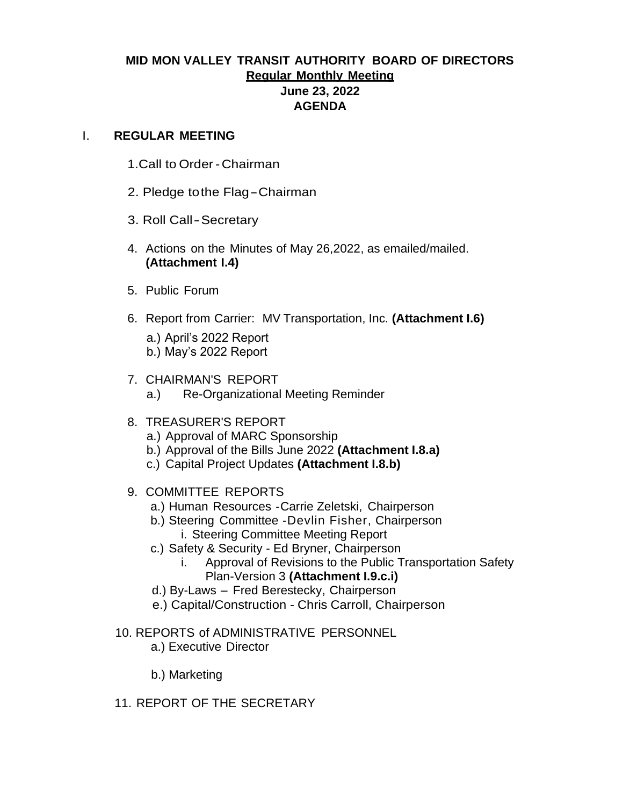## **MID MON VALLEY TRANSIT AUTHORITY BOARD OF DIRECTORS Regular Monthly Meeting June 23, 2022 AGENDA**

#### I. **REGULAR MEETING**

- 1.Call to Order -Chairman
- 2. Pledge tothe Flag-Chairman
- 3. Roll Call-Secretary
- 4. Actions on the Minutes of May 26,2022, as emailed/mailed. **(Attachment I.4)**
- 5. Public Forum
- 6. Report from Carrier: MV Transportation, Inc. **(Attachment I.6)**
	- a.) April's 2022 Report b.) May's 2022 Report
- 7. CHAIRMAN'S REPORT
	- a.) Re-Organizational Meeting Reminder

#### 8. TREASURER'S REPORT

- a.) Approval of MARC Sponsorship
- b.) Approval of the Bills June 2022 **(Attachment I.8.a)**
- c.) Capital Project Updates **(Attachment I.8.b)**
- 9. COMMITTEE REPORTS
	- a.) Human Resources -Carrie Zeletski, Chairperson
	- b.) Steering Committee -Devlin Fisher, Chairperson i. Steering Committee Meeting Report
	- c.) Safety & Security Ed Bryner, Chairperson
		- i. Approval of Revisions to the Public Transportation Safety Plan-Version 3 **(Attachment I.9.c.i)**
	- d.) By-Laws Fred Berestecky, Chairperson
	- e.) Capital/Construction Chris Carroll, Chairperson
- 10. REPORTS of ADMINISTRATIVE PERSONNEL
	- a.) Executive Director

b.) Marketing

11. REPORT OF THE SECRETARY